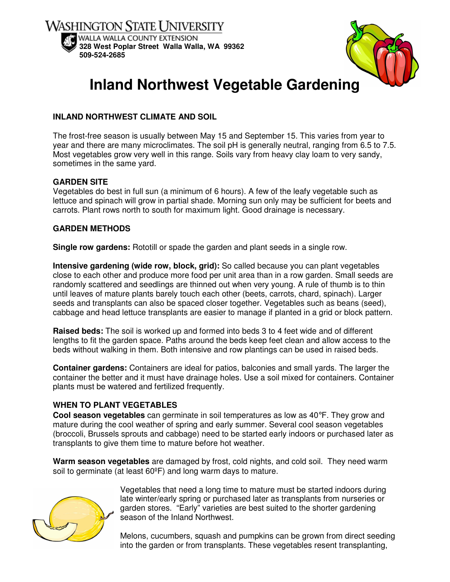



# **Inland Northwest Vegetable Gardening**

# **INLAND NORTHWEST CLIMATE AND SOIL**

The frost-free season is usually between May 15 and September 15. This varies from year to year and there are many microclimates. The soil pH is generally neutral, ranging from 6.5 to 7.5. Most vegetables grow very well in this range. Soils vary from heavy clay loam to very sandy, sometimes in the same yard.

## **GARDEN SITE**

Vegetables do best in full sun (a minimum of 6 hours). A few of the leafy vegetable such as lettuce and spinach will grow in partial shade. Morning sun only may be sufficient for beets and carrots. Plant rows north to south for maximum light. Good drainage is necessary.

## **GARDEN METHODS**

**Single row gardens:** Rototill or spade the garden and plant seeds in a single row.

**Intensive gardening (wide row, block, grid):** So called because you can plant vegetables close to each other and produce more food per unit area than in a row garden. Small seeds are randomly scattered and seedlings are thinned out when very young. A rule of thumb is to thin until leaves of mature plants barely touch each other (beets, carrots, chard, spinach). Larger seeds and transplants can also be spaced closer together. Vegetables such as beans (seed), cabbage and head lettuce transplants are easier to manage if planted in a grid or block pattern.

**Raised beds:** The soil is worked up and formed into beds 3 to 4 feet wide and of different lengths to fit the garden space. Paths around the beds keep feet clean and allow access to the beds without walking in them. Both intensive and row plantings can be used in raised beds.

**Container gardens:** Containers are ideal for patios, balconies and small yards. The larger the container the better and it must have drainage holes. Use a soil mixed for containers. Container plants must be watered and fertilized frequently.

## **WHEN TO PLANT VEGETABLES**

**Cool season vegetables** can germinate in soil temperatures as low as 40°F. They grow and mature during the cool weather of spring and early summer. Several cool season vegetables (broccoli, Brussels sprouts and cabbage) need to be started early indoors or purchased later as transplants to give them time to mature before hot weather.

**Warm season vegetables** are damaged by frost, cold nights, and cold soil. They need warm soil to germinate (at least 60ºF) and long warm days to mature.



Vegetables that need a long time to mature must be started indoors during late winter/early spring or purchased later as transplants from nurseries or garden stores. "Early" varieties are best suited to the shorter gardening season of the Inland Northwest.

Melons, cucumbers, squash and pumpkins can be grown from direct seeding into the garden or from transplants. These vegetables resent transplanting,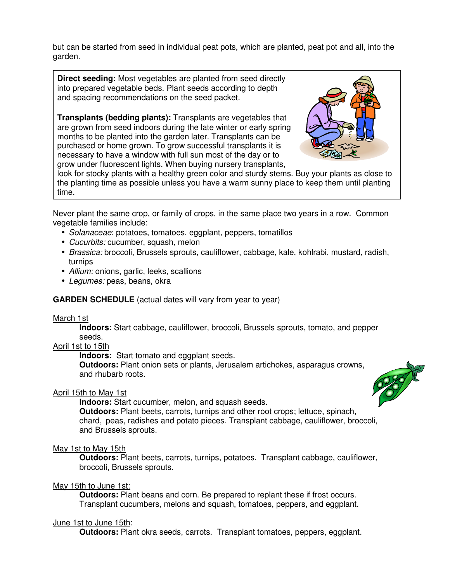but can be started from seed in individual peat pots, which are planted, peat pot and all, into the garden.

**Direct seeding:** Most vegetables are planted from seed directly into prepared vegetable beds. Plant seeds according to depth and spacing recommendations on the seed packet.

**Transplants (bedding plants):** Transplants are vegetables that are grown from seed indoors during the late winter or early spring months to be planted into the garden later. Transplants can be purchased or home grown. To grow successful transplants it is necessary to have a window with full sun most of the day or to grow under fluorescent lights. When buying nursery transplants,



look for stocky plants with a healthy green color and sturdy stems. Buy your plants as close to the planting time as possible unless you have a warm sunny place to keep them until planting time.

Never plant the same crop, or family of crops, in the same place two years in a row. Common vegetable families include:

- Solanaceae: potatoes, tomatoes, eggplant, peppers, tomatillos
- Cucurbits: cucumber, squash, melon
- Brassica: broccoli, Brussels sprouts, cauliflower, cabbage, kale, kohlrabi, mustard, radish, turnips
- Allium: onions, garlic, leeks, scallions
- Legumes: peas, beans, okra

## **GARDEN SCHEDULE** (actual dates will vary from year to year)

#### March 1st

**Indoors:** Start cabbage, cauliflower, broccoli, Brussels sprouts, tomato, and pepper seeds.

#### April 1st to 15th

**Indoors:** Start tomato and eggplant seeds.

**Outdoors:** Plant onion sets or plants, Jerusalem artichokes, asparagus crowns, and rhubarb roots.

## April 15th to May 1st

 **Indoors:** Start cucumber, melon, and squash seeds.

 **Outdoors:** Plant beets, carrots, turnips and other root crops; lettuce, spinach, chard, peas, radishes and potato pieces. Transplant cabbage, cauliflower, broccoli, and Brussels sprouts.

#### May 1st to May 15th

**Outdoors:** Plant beets, carrots, turnips, potatoes. Transplant cabbage, cauliflower, broccoli, Brussels sprouts.

# May 15th to June 1st:

 **Outdoors:** Plant beans and corn. Be prepared to replant these if frost occurs. Transplant cucumbers, melons and squash, tomatoes, peppers, and eggplant.

## June 1st to June 15th:

**Outdoors:** Plant okra seeds, carrots. Transplant tomatoes, peppers, eggplant.

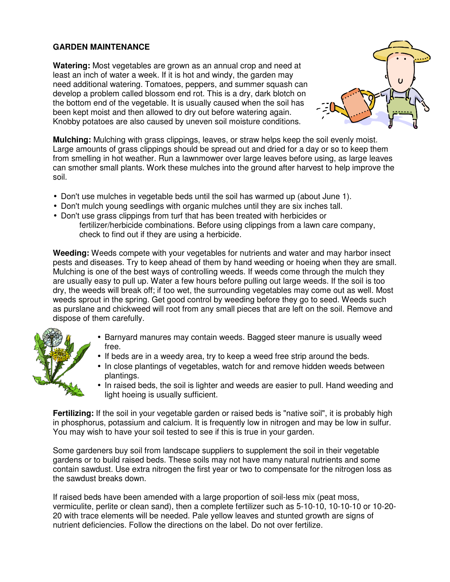# **GARDEN MAINTENANCE**

**Watering:** Most vegetables are grown as an annual crop and need at least an inch of water a week. If it is hot and windy, the garden may need additional watering. Tomatoes, peppers, and summer squash can develop a problem called blossom end rot. This is a dry, dark blotch on the bottom end of the vegetable. It is usually caused when the soil has been kept moist and then allowed to dry out before watering again. Knobby potatoes are also caused by uneven soil moisture conditions.



**Mulching:** Mulching with grass clippings, leaves, or straw helps keep the soil evenly moist. Large amounts of grass clippings should be spread out and dried for a day or so to keep them from smelling in hot weather. Run a lawnmower over large leaves before using, as large leaves can smother small plants. Work these mulches into the ground after harvest to help improve the soil.

- Don't use mulches in vegetable beds until the soil has warmed up (about June 1).
- Don't mulch young seedlings with organic mulches until they are six inches tall.
- Don't use grass clippings from turf that has been treated with herbicides or fertilizer/herbicide combinations. Before using clippings from a lawn care company, check to find out if they are using a herbicide.

**Weeding:** Weeds compete with your vegetables for nutrients and water and may harbor insect pests and diseases. Try to keep ahead of them by hand weeding or hoeing when they are small. Mulching is one of the best ways of controlling weeds. If weeds come through the mulch they are usually easy to pull up. Water a few hours before pulling out large weeds. If the soil is too dry, the weeds will break off; if too wet, the surrounding vegetables may come out as well. Most weeds sprout in the spring. Get good control by weeding before they go to seed. Weeds such as purslane and chickweed will root from any small pieces that are left on the soil. Remove and dispose of them carefully.

- Barnyard manures may contain weeds. Bagged steer manure is usually weed free.
- If beds are in a weedy area, try to keep a weed free strip around the beds.
- In close plantings of vegetables, watch for and remove hidden weeds between plantings.
- In raised beds, the soil is lighter and weeds are easier to pull. Hand weeding and light hoeing is usually sufficient.

**Fertilizing:** If the soil in your vegetable garden or raised beds is "native soil", it is probably high in phosphorus, potassium and calcium. It is frequently low in nitrogen and may be low in sulfur. You may wish to have your soil tested to see if this is true in your garden.

Some gardeners buy soil from landscape suppliers to supplement the soil in their vegetable gardens or to build raised beds. These soils may not have many natural nutrients and some contain sawdust. Use extra nitrogen the first year or two to compensate for the nitrogen loss as the sawdust breaks down.

If raised beds have been amended with a large proportion of soil-less mix (peat moss, vermiculite, perlite or clean sand), then a complete fertilizer such as 5-10-10, 10-10-10 or 10-20- 20 with trace elements will be needed. Pale yellow leaves and stunted growth are signs of nutrient deficiencies. Follow the directions on the label. Do not over fertilize.